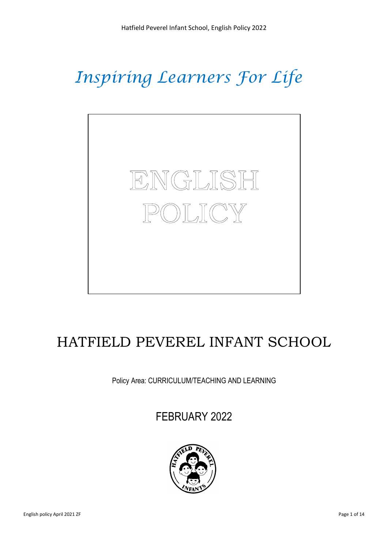# *Inspiring Learners For Life*



## HATFIELD PEVEREL INFANT SCHOOL

Policy Area: CURRICULUM/TEACHING AND LEARNING

FEBRUARY 2022

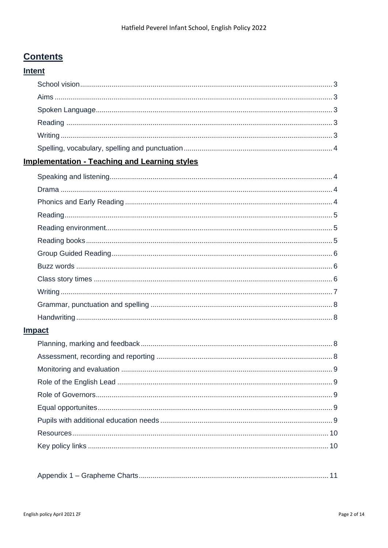## **Contents**

### **Intent**

### **Implementation - Teaching and Learning styles**

| <b>Impact</b> |  |
|---------------|--|
|               |  |
|               |  |
|               |  |
|               |  |
|               |  |
|               |  |
|               |  |
|               |  |
|               |  |
|               |  |
|               |  |

|--|--|--|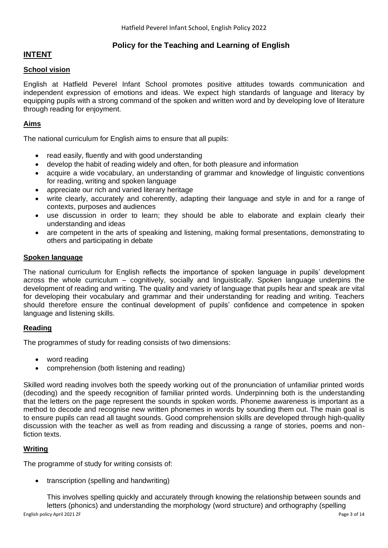#### **Policy for the Teaching and Learning of English**

#### **INTENT**

#### **School vision**

English at Hatfield Peverel Infant School promotes positive attitudes towards communication and independent expression of emotions and ideas. We expect high standards of language and literacy by equipping pupils with a strong command of the spoken and written word and by developing love of literature through reading for enjoyment.

#### **Aims**

The national curriculum for English aims to ensure that all pupils:

- read easily, fluently and with good understanding
- develop the habit of reading widely and often, for both pleasure and information
- acquire a wide vocabulary, an understanding of grammar and knowledge of linguistic conventions for reading, writing and spoken language
- appreciate our rich and varied literary heritage
- write clearly, accurately and coherently, adapting their language and style in and for a range of contexts, purposes and audiences
- use discussion in order to learn; they should be able to elaborate and explain clearly their understanding and ideas
- are competent in the arts of speaking and listening, making formal presentations, demonstrating to others and participating in debate

#### **Spoken language**

The national curriculum for English reflects the importance of spoken language in pupils' development across the whole curriculum – cognitively, socially and linguistically. Spoken language underpins the development of reading and writing. The quality and variety of language that pupils hear and speak are vital for developing their vocabulary and grammar and their understanding for reading and writing. Teachers should therefore ensure the continual development of pupils' confidence and competence in spoken language and listening skills.

#### **Reading**

The programmes of study for reading consists of two dimensions:

- word reading
- comprehension (both listening and reading)

Skilled word reading involves both the speedy working out of the pronunciation of unfamiliar printed words (decoding) and the speedy recognition of familiar printed words. Underpinning both is the understanding that the letters on the page represent the sounds in spoken words. Phoneme awareness is important as a method to decode and recognise new written phonemes in words by sounding them out. The main goal is to ensure pupils can read all taught sounds. Good comprehension skills are developed through high-quality discussion with the teacher as well as from reading and discussing a range of stories, poems and nonfiction texts.

#### **Writing**

The programme of study for writing consists of:

• transcription (spelling and handwriting)

English policy April 2021 ZF Page 3 of 14 This involves spelling quickly and accurately through knowing the relationship between sounds and letters (phonics) and understanding the morphology (word structure) and orthography (spelling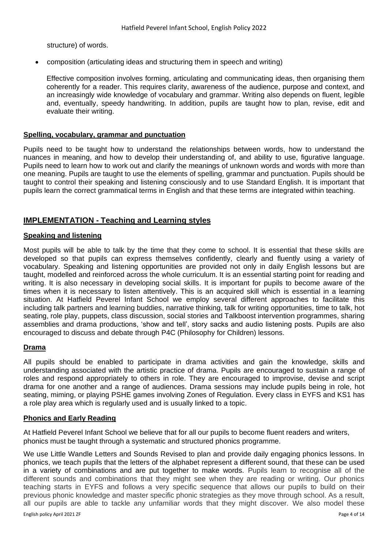structure) of words.

• composition (articulating ideas and structuring them in speech and writing)

Effective composition involves forming, articulating and communicating ideas, then organising them coherently for a reader. This requires clarity, awareness of the audience, purpose and context, and an increasingly wide knowledge of vocabulary and grammar. Writing also depends on fluent, legible and, eventually, speedy handwriting. In addition, pupils are taught how to plan, revise, edit and evaluate their writing.

#### **Spelling, vocabulary, grammar and punctuation**

Pupils need to be taught how to understand the relationships between words, how to understand the nuances in meaning, and how to develop their understanding of, and ability to use, figurative language. Pupils need to learn how to work out and clarify the meanings of unknown words and words with more than one meaning. Pupils are taught to use the elements of spelling, grammar and punctuation. Pupils should be taught to control their speaking and listening consciously and to use Standard English. It is important that pupils learn the correct grammatical terms in English and that these terms are integrated within teaching.

#### **IMPLEMENTATION - Teaching and Learning styles**

#### **Speaking and listening**

Most pupils will be able to talk by the time that they come to school. It is essential that these skills are developed so that pupils can express themselves confidently, clearly and fluently using a variety of vocabulary. Speaking and listening opportunities are provided not only in daily English lessons but are taught, modelled and reinforced across the whole curriculum. It is an essential starting point for reading and writing. It is also necessary in developing social skills. It is important for pupils to become aware of the times when it is necessary to listen attentively. This is an acquired skill which is essential in a learning situation. At Hatfield Peverel Infant School we employ several different approaches to facilitate this including talk partners and learning buddies, narrative thinking, talk for writing opportunities, time to talk, hot seating, role play, puppets, class discussion, social stories and Talkboost intervention programmes, sharing assemblies and drama productions, 'show and tell', story sacks and audio listening posts. Pupils are also encouraged to discuss and debate through P4C (Philosophy for Children) lessons.

#### **Drama**

All pupils should be enabled to participate in drama activities and gain the knowledge, skills and understanding associated with the artistic practice of drama. Pupils are encouraged to sustain a range of roles and respond appropriately to others in role. They are encouraged to improvise, devise and script drama for one another and a range of audiences. Drama sessions may include pupils being in role, hot seating, miming, or playing PSHE games involving Zones of Regulation. Every class in EYFS and KS1 has a role play area which is regularly used and is usually linked to a topic.

#### **Phonics and Early Reading**

At Hatfield Peverel Infant School we believe that for all our pupils to become fluent readers and writers, phonics must be taught through a systematic and structured phonics programme.

We use Little Wandle Letters and Sounds Revised to plan and provide daily engaging phonics lessons. In phonics, we teach pupils that the letters of the alphabet represent a different sound, that these can be used in a variety of combinations and are put together to make words. Pupils learn to recognise all of the different sounds and combinations that they might see when they are reading or writing. Our phonics teaching starts in EYFS and follows a very specific sequence that allows our pupils to build on their previous phonic knowledge and master specific phonic strategies as they move through school. As a result, all our pupils are able to tackle any unfamiliar words that they might discover. We also model these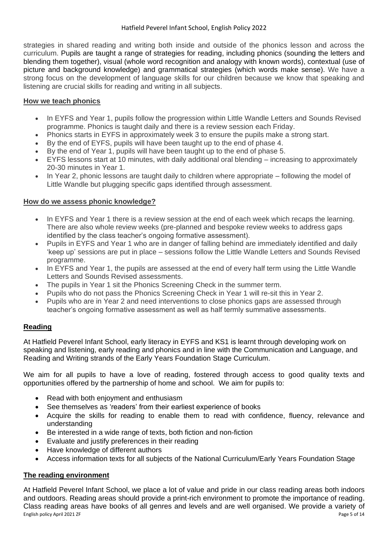strategies in shared reading and writing both inside and outside of the phonics lesson and across the curriculum. Pupils are taught a range of strategies for reading, including phonics (sounding the letters and blending them together), visual (whole word recognition and analogy with known words), contextual (use of picture and background knowledge) and grammatical strategies (which words make sense). We have a strong focus on the development of language skills for our children because we know that speaking and listening are crucial skills for reading and writing in all subjects.

#### **How we teach phonics**

- In EYFS and Year 1, pupils follow the progression within Little Wandle Letters and Sounds Revised programme. Phonics is taught daily and there is a review session each Friday.
- Phonics starts in EYFS in approximately week 3 to ensure the pupils make a strong start.
- By the end of EYFS, pupils will have been taught up to the end of phase 4.
- By the end of Year 1, pupils will have been taught up to the end of phase 5.
- EYFS lessons start at 10 minutes, with daily additional oral blending increasing to approximately 20-30 minutes in Year 1.
- In Year 2, phonic lessons are taught daily to children where appropriate following the model of Little Wandle but plugging specific gaps identified through assessment.

#### **How do we assess phonic knowledge?**

- In EYFS and Year 1 there is a review session at the end of each week which recaps the learning. There are also whole review weeks (pre-planned and bespoke review weeks to address gaps identified by the class teacher's ongoing formative assessment).
- Pupils in EYFS and Year 1 who are in danger of falling behind are immediately identified and daily 'keep up' sessions are put in place – sessions follow the Little Wandle Letters and Sounds Revised programme.
- In EYFS and Year 1, the pupils are assessed at the end of every half term using the Little Wandle Letters and Sounds Revised assessments.
- The pupils in Year 1 sit the Phonics Screening Check in the summer term.
- Pupils who do not pass the Phonics Screening Check in Year 1 will re-sit this in Year 2.
- Pupils who are in Year 2 and need interventions to close phonics gaps are assessed through teacher's ongoing formative assessment as well as half termly summative assessments.

#### **Reading**

At Hatfield Peverel Infant School, early literacy in EYFS and KS1 is learnt through developing work on speaking and listening, early reading and phonics and in line with the Communication and Language, and Reading and Writing strands of the Early Years Foundation Stage Curriculum.

We aim for all pupils to have a love of reading, fostered through access to good quality texts and opportunities offered by the partnership of home and school. We aim for pupils to:

- Read with both enjoyment and enthusiasm
- See themselves as 'readers' from their earliest experience of books
- Acquire the skills for reading to enable them to read with confidence, fluency, relevance and understanding
- Be interested in a wide range of texts, both fiction and non-fiction
- Evaluate and justify preferences in their reading
- Have knowledge of different authors
- Access information texts for all subjects of the National Curriculum/Early Years Foundation Stage

#### **The reading environment**

English policy April 2021 ZF Page 5 of 14 At Hatfield Peverel Infant School, we place a lot of value and pride in our class reading areas both indoors and outdoors. Reading areas should provide a print-rich environment to promote the importance of reading. Class reading areas have books of all genres and levels and are well organised. We provide a variety of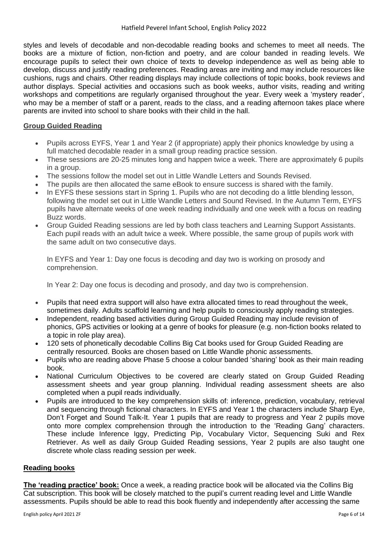styles and levels of decodable and non-decodable reading books and schemes to meet all needs. The books are a mixture of fiction, non-fiction and poetry, and are colour banded in reading levels. We encourage pupils to select their own choice of texts to develop independence as well as being able to develop, discuss and justify reading preferences. Reading areas are inviting and may include resources like cushions, rugs and chairs. Other reading displays may include collections of topic books, book reviews and author displays. Special activities and occasions such as book weeks, author visits, reading and writing workshops and competitions are regularly organised throughout the year. Every week a 'mystery reader', who may be a member of staff or a parent, reads to the class, and a reading afternoon takes place where parents are invited into school to share books with their child in the hall.

#### **Group Guided Reading**

- Pupils across EYFS, Year 1 and Year 2 (if appropriate) apply their phonics knowledge by using a full matched decodable reader in a small group reading practice session.
- These sessions are 20-25 minutes long and happen twice a week. There are approximately 6 pupils in a group.
- The sessions follow the model set out in Little Wandle Letters and Sounds Revised.
- The pupils are then allocated the same eBook to ensure success is shared with the family.
- In EYFS these sessions start in Spring 1. Pupils who are not decoding do a little blending lesson, following the model set out in Little Wandle Letters and Sound Revised. In the Autumn Term, EYFS pupils have alternate weeks of one week reading individually and one week with a focus on reading Buzz words.
- Group Guided Reading sessions are led by both class teachers and Learning Support Assistants. Each pupil reads with an adult twice a week. Where possible, the same group of pupils work with the same adult on two consecutive days.

In EYFS and Year 1: Day one focus is decoding and day two is working on prosody and comprehension.

In Year 2: Day one focus is decoding and prosody, and day two is comprehension.

- Pupils that need extra support will also have extra allocated times to read throughout the week, sometimes daily. Adults scaffold learning and help pupils to consciously apply reading strategies.
- Independent, reading based activities during Group Guided Reading may include revision of phonics, GPS activities or looking at a genre of books for pleasure (e.g. non-fiction books related to a topic in role play area).
- 120 sets of phonetically decodable Collins Big Cat books used for Group Guided Reading are centrally resourced. Books are chosen based on Little Wandle phonic assessments.
- Pupils who are reading above Phase 5 choose a colour banded 'sharing' book as their main reading book.
- National Curriculum Objectives to be covered are clearly stated on Group Guided Reading assessment sheets and year group planning. Individual reading assessment sheets are also completed when a pupil reads individually.
- Pupils are introduced to the key comprehension skills of: inference, prediction, vocabulary, retrieval and sequencing through fictional characters. In EYFS and Year 1 the characters include Sharp Eye, Don't Forget and Sound Talk-It. Year 1 pupils that are ready to progress and Year 2 pupils move onto more complex comprehension through the introduction to the 'Reading Gang' characters. These include Inference Iggy, Predicting Pip, Vocabulary Victor, Sequencing Suki and Rex Retriever. As well as daily Group Guided Reading sessions, Year 2 pupils are also taught one discrete whole class reading session per week.

#### **Reading books**

**The 'reading practice' book:** Once a week, a reading practice book will be allocated via the Collins Big Cat subscription. This book will be closely matched to the pupil's current reading level and Little Wandle assessments. Pupils should be able to read this book fluently and independently after accessing the same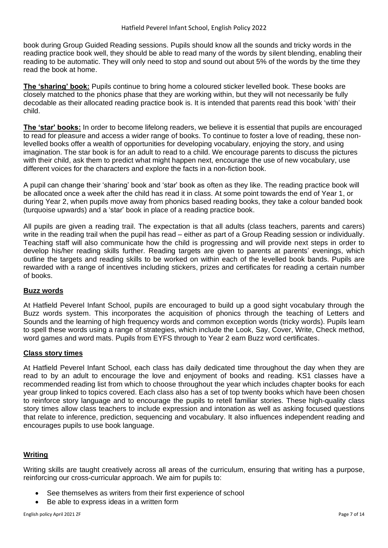book during Group Guided Reading sessions. Pupils should know all the sounds and tricky words in the reading practice book well, they should be able to read many of the words by silent blending, enabling their reading to be automatic. They will only need to stop and sound out about 5% of the words by the time they read the book at home.

**The 'sharing' book:** Pupils continue to bring home a coloured sticker levelled book. These books are closely matched to the phonics phase that they are working within, but they will not necessarily be fully decodable as their allocated reading practice book is. It is intended that parents read this book 'with' their child.

**The 'star' books:** In order to become lifelong readers, we believe it is essential that pupils are encouraged to read for pleasure and access a wider range of books. To continue to foster a love of reading, these nonlevelled books offer a wealth of opportunities for developing vocabulary, enjoying the story, and using imagination. The star book is for an adult to read to a child. We encourage parents to discuss the pictures with their child, ask them to predict what might happen next, encourage the use of new vocabulary, use different voices for the characters and explore the facts in a non-fiction book.

A pupil can change their 'sharing' book and 'star' book as often as they like. The reading practice book will be allocated once a week after the child has read it in class. At some point towards the end of Year 1, or during Year 2, when pupils move away from phonics based reading books, they take a colour banded book (turquoise upwards) and a 'star' book in place of a reading practice book.

All pupils are given a reading trail. The expectation is that all adults (class teachers, parents and carers) write in the reading trail when the pupil has read – either as part of a Group Reading session or individually. Teaching staff will also communicate how the child is progressing and will provide next steps in order to develop his/her reading skills further. Reading targets are given to parents at parents' evenings, which outline the targets and reading skills to be worked on within each of the levelled book bands. Pupils are rewarded with a range of incentives including stickers, prizes and certificates for reading a certain number of books.

#### **Buzz words**

At Hatfield Peverel Infant School, pupils are encouraged to build up a good sight vocabulary through the Buzz words system. This incorporates the acquisition of phonics through the teaching of Letters and Sounds and the learning of high frequency words and common exception words (tricky words). Pupils learn to spell these words using a range of strategies, which include the Look, Say, Cover, Write, Check method, word games and word mats. Pupils from EYFS through to Year 2 earn Buzz word certificates.

#### **Class story times**

At Hatfield Peverel Infant School, each class has daily dedicated time throughout the day when they are read to by an adult to encourage the love and enjoyment of books and reading. KS1 classes have a recommended reading list from which to choose throughout the year which includes chapter books for each year group linked to topics covered. Each class also has a set of top twenty books which have been chosen to reinforce story language and to encourage the pupils to retell familiar stories. These high-quality class story times allow class teachers to include expression and intonation as well as asking focused questions that relate to inference, prediction, sequencing and vocabulary. It also influences independent reading and encourages pupils to use book language.

#### **Writing**

Writing skills are taught creatively across all areas of the curriculum, ensuring that writing has a purpose, reinforcing our cross-curricular approach. We aim for pupils to:

- See themselves as writers from their first experience of school
- Be able to express ideas in a written form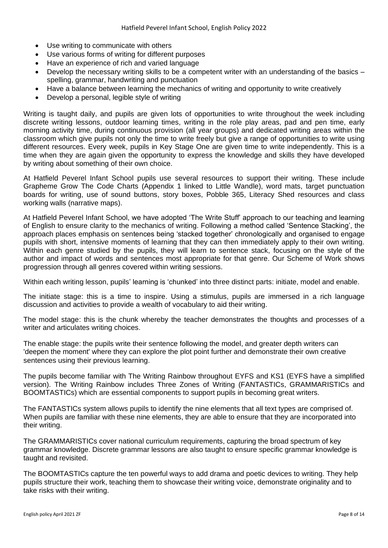- Use writing to communicate with others
- Use various forms of writing for different purposes
- Have an experience of rich and varied language
- Develop the necessary writing skills to be a competent writer with an understanding of the basics spelling, grammar, handwriting and punctuation
- Have a balance between learning the mechanics of writing and opportunity to write creatively
- Develop a personal, legible style of writing

Writing is taught daily, and pupils are given lots of opportunities to write throughout the week including discrete writing lessons, outdoor learning times, writing in the role play areas, pad and pen time, early morning activity time, during continuous provision (all year groups) and dedicated writing areas within the classroom which give pupils not only the time to write freely but give a range of opportunities to write using different resources. Every week, pupils in Key Stage One are given time to write independently. This is a time when they are again given the opportunity to express the knowledge and skills they have developed by writing about something of their own choice.

At Hatfield Peverel Infant School pupils use several resources to support their writing. These include Grapheme Grow The Code Charts (Appendix 1 linked to Little Wandle), word mats, target punctuation boards for writing, use of sound buttons, story boxes, Pobble 365, Literacy Shed resources and class working walls (narrative maps).

At Hatfield Peverel Infant School, we have adopted 'The Write Stuff' approach to our teaching and learning of English to ensure clarity to the mechanics of writing. Following a method called 'Sentence Stacking', the approach places emphasis on sentences being 'stacked together' chronologically and organised to engage pupils with short, intensive moments of learning that they can then immediately apply to their own writing. Within each genre studied by the pupils, they will learn to sentence stack, focusing on the style of the author and impact of words and sentences most appropriate for that genre. Our Scheme of Work shows progression through all genres covered within writing sessions.

Within each writing lesson, pupils' learning is 'chunked' into three distinct parts: initiate, model and enable.

The initiate stage: this is a time to inspire. Using a stimulus, pupils are immersed in a rich language discussion and activities to provide a wealth of vocabulary to aid their writing.

The model stage: this is the chunk whereby the teacher demonstrates the thoughts and processes of a writer and articulates writing choices.

The enable stage: the pupils write their sentence following the model, and greater depth writers can 'deepen the moment' where they can explore the plot point further and demonstrate their own creative sentences using their previous learning.

The pupils become familiar with The Writing Rainbow throughout EYFS and KS1 (EYFS have a simplified version). The Writing Rainbow includes Three Zones of Writing (FANTASTICs, GRAMMARISTICs and BOOMTASTICs) which are essential components to support pupils in becoming great writers.

The FANTASTICs system allows pupils to identify the nine elements that all text types are comprised of. When pupils are familiar with these nine elements, they are able to ensure that they are incorporated into their writing.

The GRAMMARISTICs cover national curriculum requirements, capturing the broad spectrum of key grammar knowledge. Discrete grammar lessons are also taught to ensure specific grammar knowledge is taught and revisited.

The BOOMTASTICs capture the ten powerful ways to add drama and poetic devices to writing. They help pupils structure their work, teaching them to showcase their writing voice, demonstrate originality and to take risks with their writing.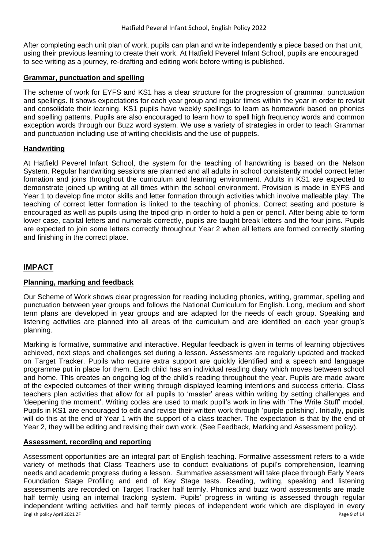After completing each unit plan of work, pupils can plan and write independently a piece based on that unit, using their previous learning to create their work. At Hatfield Peverel Infant School, pupils are encouraged to see writing as a journey, re-drafting and editing work before writing is published.

#### **Grammar, punctuation and spelling**

The scheme of work for EYFS and KS1 has a clear structure for the progression of grammar, punctuation and spellings. It shows expectations for each year group and regular times within the year in order to revisit and consolidate their learning. KS1 pupils have weekly spellings to learn as homework based on phonics and spelling patterns. Pupils are also encouraged to learn how to spell high frequency words and common exception words through our Buzz word system. We use a variety of strategies in order to teach Grammar and punctuation including use of writing checklists and the use of puppets.

#### **Handwriting**

At Hatfield Peverel Infant School, the system for the teaching of handwriting is based on the Nelson System. Regular handwriting sessions are planned and all adults in school consistently model correct letter formation and joins throughout the curriculum and learning environment. Adults in KS1 are expected to demonstrate joined up writing at all times within the school environment. Provision is made in EYFS and Year 1 to develop fine motor skills and letter formation through activities which involve malleable play. The teaching of correct letter formation is linked to the teaching of phonics. Correct seating and posture is encouraged as well as pupils using the tripod grip in order to hold a pen or pencil. After being able to form lower case, capital letters and numerals correctly, pupils are taught break letters and the four joins. Pupils are expected to join some letters correctly throughout Year 2 when all letters are formed correctly starting and finishing in the correct place.

#### **IMPACT**

#### **Planning, marking and feedback**

Our Scheme of Work shows clear progression for reading including phonics, writing, grammar, spelling and punctuation between year groups and follows the National Curriculum for English. Long, medium and short term plans are developed in year groups and are adapted for the needs of each group. Speaking and listening activities are planned into all areas of the curriculum and are identified on each year group's planning.

Marking is formative, summative and interactive. Regular feedback is given in terms of learning objectives achieved, next steps and challenges set during a lesson. Assessments are regularly updated and tracked on Target Tracker. Pupils who require extra support are quickly identified and a speech and language programme put in place for them. Each child has an individual reading diary which moves between school and home. This creates an ongoing log of the child's reading throughout the year. Pupils are made aware of the expected outcomes of their writing through displayed learning intentions and success criteria. Class teachers plan activities that allow for all pupils to 'master' areas within writing by setting challenges and 'deepening the moment'. Writing codes are used to mark pupil's work in line with 'The Write Stuff' model. Pupils in KS1 are encouraged to edit and revise their written work through 'purple polishing'. Initially, pupils will do this at the end of Year 1 with the support of a class teacher. The expectation is that by the end of Year 2, they will be editing and revising their own work. (See Feedback, Marking and Assessment policy).

#### **Assessment, recording and reporting**

English policy April 2021 ZF Page 9 of 14 Assessment opportunities are an integral part of English teaching. Formative assessment refers to a wide variety of methods that Class Teachers use to conduct evaluations of pupil's comprehension, learning needs and academic progress during a lesson. Summative assessment will take place through Early Years Foundation Stage Profiling and end of Key Stage tests. Reading, writing, speaking and listening assessments are recorded on Target Tracker half termly. Phonics and buzz word assessments are made half termly using an internal tracking system. Pupils' progress in writing is assessed through regular independent writing activities and half termly pieces of independent work which are displayed in every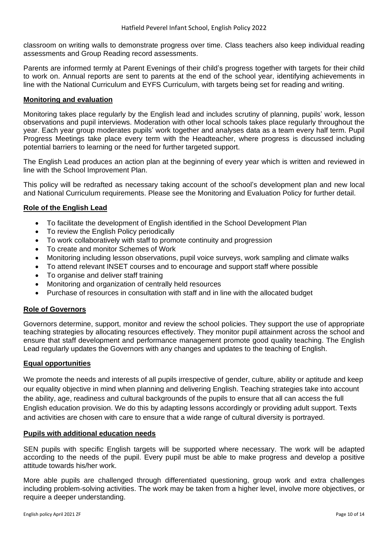classroom on writing walls to demonstrate progress over time. Class teachers also keep individual reading assessments and Group Reading record assessments.

Parents are informed termly at Parent Evenings of their child's progress together with targets for their child to work on. Annual reports are sent to parents at the end of the school year, identifying achievements in line with the National Curriculum and EYFS Curriculum, with targets being set for reading and writing.

#### **Monitoring and evaluation**

Monitoring takes place regularly by the English lead and includes scrutiny of planning, pupils' work, lesson observations and pupil interviews. Moderation with other local schools takes place regularly throughout the year. Each year group moderates pupils' work together and analyses data as a team every half term. Pupil Progress Meetings take place every term with the Headteacher, where progress is discussed including potential barriers to learning or the need for further targeted support.

The English Lead produces an action plan at the beginning of every year which is written and reviewed in line with the School Improvement Plan.

This policy will be redrafted as necessary taking account of the school's development plan and new local and National Curriculum requirements. Please see the Monitoring and Evaluation Policy for further detail.

#### **Role of the English Lead**

- To facilitate the development of English identified in the School Development Plan
- To review the English Policy periodically
- To work collaboratively with staff to promote continuity and progression
- To create and monitor Schemes of Work
- Monitoring including lesson observations, pupil voice surveys, work sampling and climate walks
- To attend relevant INSET courses and to encourage and support staff where possible
- To organise and deliver staff training
- Monitoring and organization of centrally held resources
- Purchase of resources in consultation with staff and in line with the allocated budget

#### **Role of Governors**

Governors determine, support, monitor and review the school policies. They support the use of appropriate teaching strategies by allocating resources effectively. They monitor pupil attainment across the school and ensure that staff development and performance management promote good quality teaching. The English Lead regularly updates the Governors with any changes and updates to the teaching of English.

#### **Equal opportunities**

We promote the needs and interests of all pupils irrespective of gender, culture, ability or aptitude and keep our equality objective in mind when planning and delivering English. Teaching strategies take into account the ability, age, readiness and cultural backgrounds of the pupils to ensure that all can access the full English education provision. We do this by adapting lessons accordingly or providing adult support. Texts and activities are chosen with care to ensure that a wide range of cultural diversity is portrayed.

#### **Pupils with additional education needs**

SEN pupils with specific English targets will be supported where necessary. The work will be adapted according to the needs of the pupil. Every pupil must be able to make progress and develop a positive attitude towards his/her work.

More able pupils are challenged through differentiated questioning, group work and extra challenges including problem-solving activities. The work may be taken from a higher level, involve more objectives, or require a deeper understanding.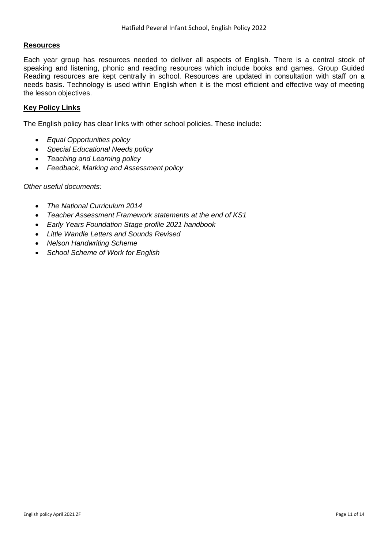#### **Resources**

Each year group has resources needed to deliver all aspects of English. There is a central stock of speaking and listening, phonic and reading resources which include books and games. Group Guided Reading resources are kept centrally in school. Resources are updated in consultation with staff on a needs basis. Technology is used within English when it is the most efficient and effective way of meeting the lesson objectives.

#### **Key Policy Links**

The English policy has clear links with other school policies. These include:

- *Equal Opportunities policy*
- *Special Educational Needs policy*
- *Teaching and Learning policy*
- *Feedback, Marking and Assessment policy*

#### *Other useful documents:*

- *The National Curriculum 2014*
- *Teacher Assessment Framework statements at the end of KS1*
- *Early Years Foundation Stage profile 2021 handbook*
- *Little Wandle Letters and Sounds Revised*
- *Nelson Handwriting Scheme*
- *School Scheme of Work for English*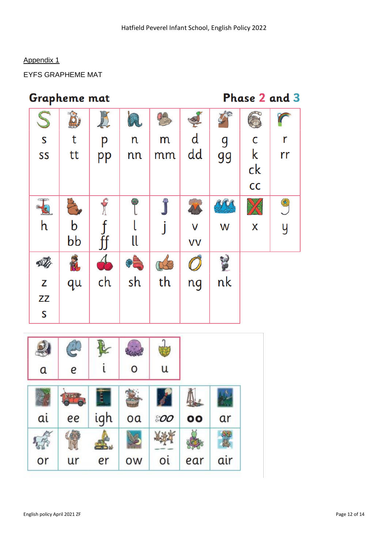#### Appendix 1

EYFS GRAPHEME MAT

## Grapheme mat

## Phase 2 and 3

| S<br>S                  |    |    |     |    |              |    |              |    |
|-------------------------|----|----|-----|----|--------------|----|--------------|----|
|                         | t  | p  | n   | m  | $\mathsf{d}$ | g  | $\mathsf C$  | r  |
| SS                      | tt | pp | nn  | mm | dd           | 99 | $\mathsf{k}$ | rr |
|                         |    |    |     |    |              |    | ck           |    |
|                         |    |    |     |    |              |    | cc           |    |
| F                       |    |    | (9) |    |              |    | X            | C  |
| h                       | b  |    |     |    | V            | W  | X            | y  |
|                         | bb | ff | ll  |    | VV           |    |              |    |
|                         | M  |    |     |    |              |    |              |    |
| $\overline{z}$          | qu | ch | sh  | th | ng           | nk |              |    |
| $Z\bar{Z}$              |    |    |     |    |              |    |              |    |
| $\overline{\mathsf{S}}$ |    |    |     |    |              |    |              |    |

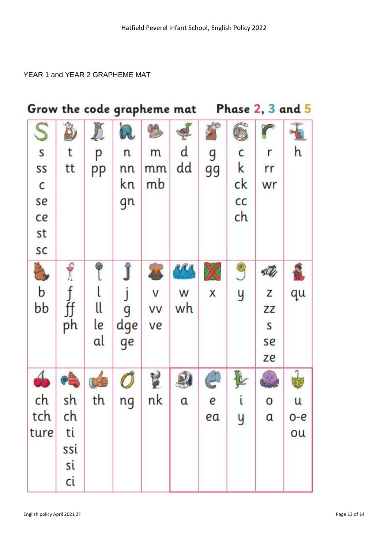#### YEAR 1 and YEAR 2 GRAPHEME MAT

| Grow the code grapheme mat |     |    |     |           |          |                         |    |               | Phase 2, 3 and 5 |
|----------------------------|-----|----|-----|-----------|----------|-------------------------|----|---------------|------------------|
| S                          |     |    | À   |           |          |                         |    |               |                  |
| ${\sf S}$                  | t   | p  | n   | m         | d        | g                       | c  | r             | h                |
| SS                         | tt  | pp | nn  | mm        | dd       | 99                      | k  | rr            |                  |
| C                          |     |    | kn  | mb        |          |                         | ck | wr            |                  |
| se                         |     |    | gn  |           |          |                         | cc |               |                  |
| ce                         |     |    |     |           |          |                         | ch |               |                  |
| st                         |     |    |     |           |          |                         |    |               |                  |
| SC                         |     |    |     |           |          |                         |    |               |                  |
| A                          |     |    |     |           |          |                         | 9  |               |                  |
| $\mathbf b$                |     |    |     | V         | W        | $\overline{\mathsf{x}}$ | y  | Z             | qu               |
| bb                         | ff  | ll | g   | <b>VV</b> | wh       |                         |    | ZZ            |                  |
|                            | ph  | le | dge | ve        |          |                         |    | S             |                  |
|                            |     | al | ge  |           |          |                         |    | se            |                  |
|                            |     |    |     |           |          |                         |    | ze            |                  |
|                            |     |    |     | Y         |          |                         |    |               |                  |
| ch                         | sh  | th | ng  | nk        | $\alpha$ | e                       | i  | O             | u                |
| tch                        | ch  |    |     |           |          | ea                      | y  | $\mathfrak a$ | $O - e$          |
| ture                       | ti  |    |     |           |          |                         |    |               | ou               |
|                            | ssi |    |     |           |          |                         |    |               |                  |
|                            | si  |    |     |           |          |                         |    |               |                  |
|                            | ci  |    |     |           |          |                         |    |               |                  |